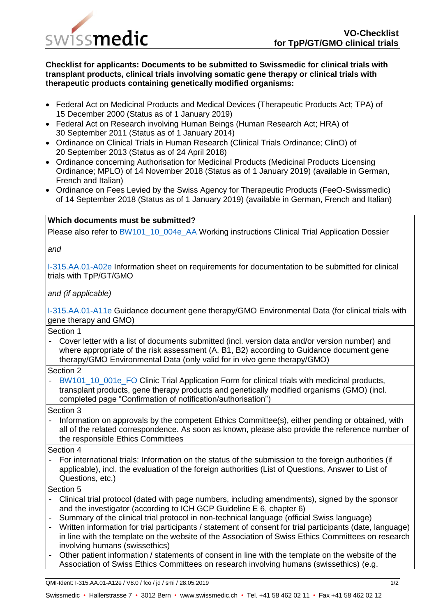

## **Checklist for applicants: Documents to be submitted to Swissmedic for clinical trials with transplant products, clinical trials involving somatic gene therapy or clinical trials with therapeutic products containing genetically modified organisms:**

- Federal Act on Medicinal Products and Medical Devices (Therapeutic Products Act; TPA) of 15 December 2000 (Status as of 1 January 2019)
- Federal Act on Research involving Human Beings (Human Research Act; HRA) of 30 September 2011 (Status as of 1 January 2014)
- Ordinance on Clinical Trials in Human Research (Clinical Trials Ordinance; ClinO) of 20 September 2013 (Status as of 24 April 2018)
- Ordinance concerning Authorisation for Medicinal Products (Medicinal Products Licensing Ordinance; MPLO) of 14 November 2018 (Status as of 1 January 2019) (available in German, French and Italian)
- Ordinance on Fees Levied by the Swiss Agency for Therapeutic Products (FeeO-Swissmedic) of 14 September 2018 (Status as of 1 January 2019) (available in German, French and Italian)

## **Which documents must be submitted?**

Please also refer to BW101\_10\_004e\_AA Working instructions Clinical Trial Application Dossier

*and*

I-315.AA.01-A02e Information sheet on requirements for documentation to be submitted for clinical trials with TpP/GT/GMO

*and (if applicable)*

I-315.AA.01-A11e Guidance document gene therapy/GMO Environmental Data (for clinical trials with gene therapy and GMO)

Section 1

- Cover letter with a list of documents submitted (incl. version data and/or version number) and where appropriate of the risk assessment (A, B1, B2) according to Guidance document gene therapy/GMO Environmental Data (only valid for in vivo gene therapy/GMO)

Section 2

BW101\_10\_001e\_FO Clinic Trial Application Form for clinical trials with medicinal products, transplant products, gene therapy products and genetically modified organisms (GMO) (incl. completed page "Confirmation of notification/authorisation")

Section 3

- Information on approvals by the competent Ethics Committee(s), either pending or obtained, with all of the related correspondence. As soon as known, please also provide the reference number of the responsible Ethics Committees

Section 4

- For international trials: Information on the status of the submission to the foreign authorities (if applicable), incl. the evaluation of the foreign authorities (List of Questions, Answer to List of Questions, etc.)

Section 5

- Clinical trial protocol (dated with page numbers, including amendments), signed by the sponsor and the investigator (according to ICH GCP Guideline E 6, chapter 6)
- Summary of the clinical trial protocol in non-technical language (official Swiss language)
- Written information for trial participants / statement of consent for trial participants (date, language) in line with the template on the website of the Association of Swiss Ethics Committees on research involving humans (swissethics)
- Other patient information / statements of consent in line with the template on the website of the Association of Swiss Ethics Committees on research involving humans (swissethics) (e.g.

QMI-Ident: I-315.AA.01-A12e / V8.0 / fco / jd / smi / 28.05.2019 1/2